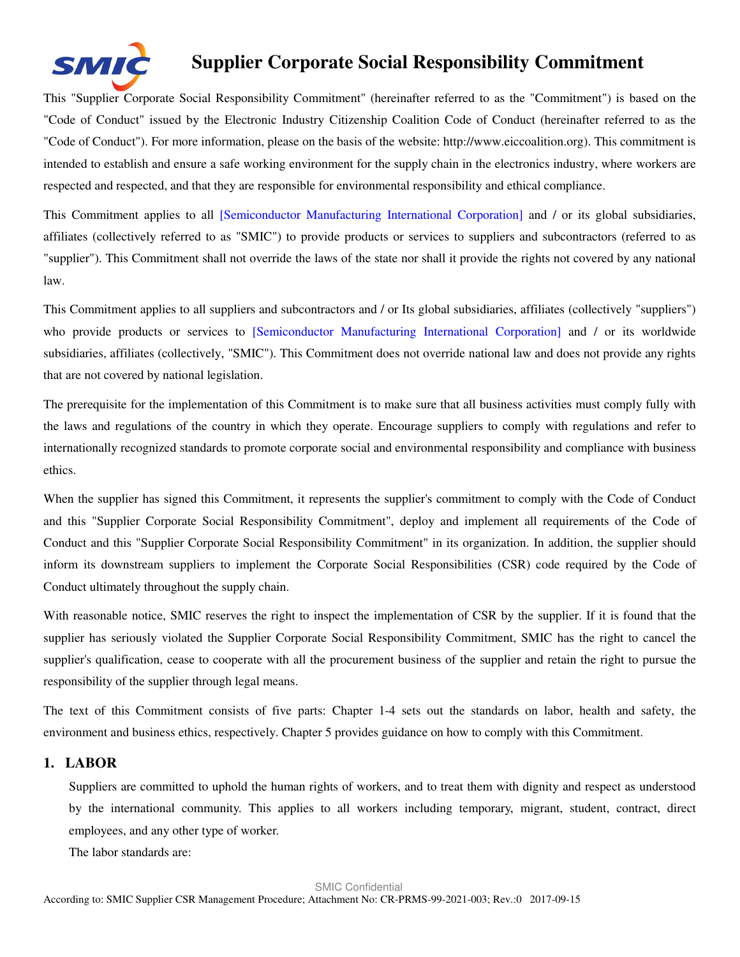

This "Supplier Corporate Social Responsibility Commitment" (hereinafter referred to as the "Commitment") is based on the "Code of Conduct" issued by the Electronic Industry Citizenship Coalition Code of Conduct (hereinafter referred to as the "Code of Conduct"). For more information, please on the basis of the website: http://www.eiccoalition.org). This commitment is intended to establish and ensure a safe working environment for the supply chain in the electronics industry, where workers are respected and respected, and that they are responsible for environmental responsibility and ethical compliance.

This Commitment applies to all [Semiconductor Manufacturing International Corporation] and / or its global subsidiaries, affiliates (collectively referred to as "SMIC") to provide products or services to suppliers and subcontractors (referred to as "supplier"). This Commitment shall not override the laws of the state nor shall it provide the rights not covered by any national law.

This Commitment applies to all suppliers and subcontractors and / or Its global subsidiaries, affiliates (collectively "suppliers") who provide products or services to [Semiconductor Manufacturing International Corporation] and / or its worldwide subsidiaries, affiliates (collectively, "SMIC"). This Commitment does not override national law and does not provide any rights that are not covered by national legislation.

The prerequisite for the implementation of this Commitment is to make sure that all business activities must comply fully with the laws and regulations of the country in which they operate. Encourage suppliers to comply with regulations and refer to internationally recognized standards to promote corporate social and environmental responsibility and compliance with business ethics.

When the supplier has signed this Commitment, it represents the supplier's commitment to comply with the Code of Conduct and this "Supplier Corporate Social Responsibility Commitment", deploy and implement all requirements of the Code of Conduct and this "Supplier Corporate Social Responsibility Commitment" in its organization. In addition, the supplier should inform its downstream suppliers to implement the Corporate Social Responsibilities (CSR) code required by the Code of Conduct ultimately throughout the supply chain.

With reasonable notice, SMIC reserves the right to inspect the implementation of CSR by the supplier. If it is found that the supplier has seriously violated the Supplier Corporate Social Responsibility Commitment, SMIC has the right to cancel the supplier's qualification, cease to cooperate with all the procurement business of the supplier and retain the right to pursue the responsibility of the supplier through legal means.

The text of this Commitment consists of five parts: Chapter 1-4 sets out the standards on labor, health and safety, the environment and business ethics, respectively. Chapter 5 provides guidance on how to comply with this Commitment.

# **1. LABOR**

Suppliers are committed to uphold the human rights of workers, and to treat them with dignity and respect as understood by the international community. This applies to all workers including temporary, migrant, student, contract, direct employees, and any other type of worker.

The labor standards are: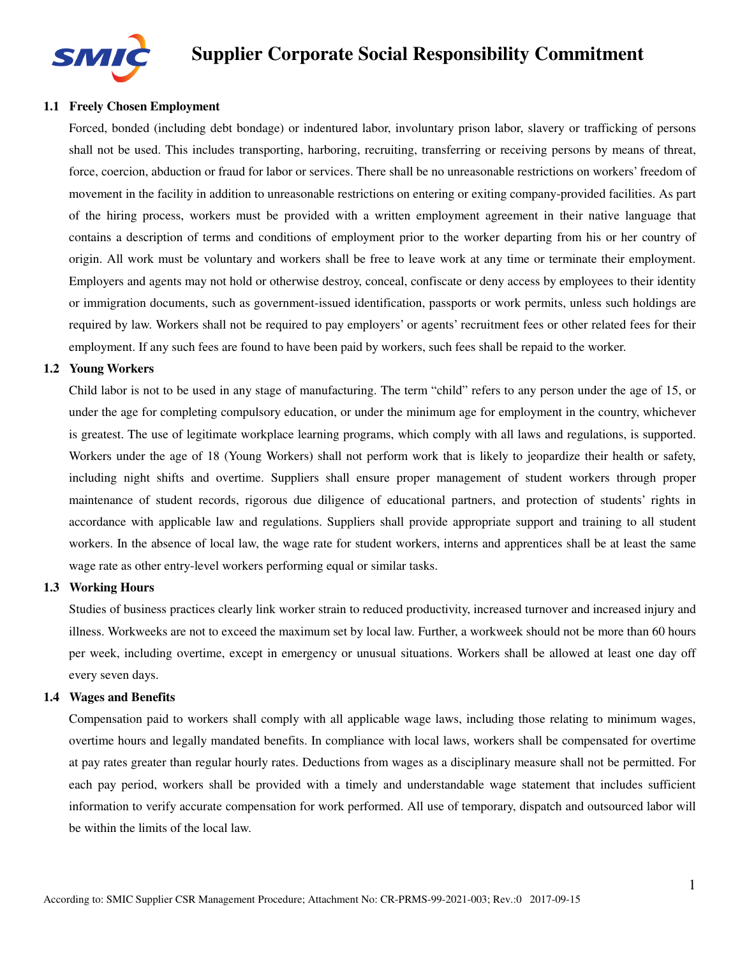

### **1.1 Freely Chosen Employment**

Forced, bonded (including debt bondage) or indentured labor, involuntary prison labor, slavery or trafficking of persons shall not be used. This includes transporting, harboring, recruiting, transferring or receiving persons by means of threat, force, coercion, abduction or fraud for labor or services. There shall be no unreasonable restrictions on workers' freedom of movement in the facility in addition to unreasonable restrictions on entering or exiting company-provided facilities. As part of the hiring process, workers must be provided with a written employment agreement in their native language that contains a description of terms and conditions of employment prior to the worker departing from his or her country of origin. All work must be voluntary and workers shall be free to leave work at any time or terminate their employment. Employers and agents may not hold or otherwise destroy, conceal, confiscate or deny access by employees to their identity or immigration documents, such as government-issued identification, passports or work permits, unless such holdings are required by law. Workers shall not be required to pay employers' or agents' recruitment fees or other related fees for their employment. If any such fees are found to have been paid by workers, such fees shall be repaid to the worker.

#### **1.2 Young Workers**

Child labor is not to be used in any stage of manufacturing. The term "child" refers to any person under the age of 15, or under the age for completing compulsory education, or under the minimum age for employment in the country, whichever is greatest. The use of legitimate workplace learning programs, which comply with all laws and regulations, is supported. Workers under the age of 18 (Young Workers) shall not perform work that is likely to jeopardize their health or safety, including night shifts and overtime. Suppliers shall ensure proper management of student workers through proper maintenance of student records, rigorous due diligence of educational partners, and protection of students' rights in accordance with applicable law and regulations. Suppliers shall provide appropriate support and training to all student workers. In the absence of local law, the wage rate for student workers, interns and apprentices shall be at least the same wage rate as other entry-level workers performing equal or similar tasks.

#### **1.3 Working Hours**

Studies of business practices clearly link worker strain to reduced productivity, increased turnover and increased injury and illness. Workweeks are not to exceed the maximum set by local law. Further, a workweek should not be more than 60 hours per week, including overtime, except in emergency or unusual situations. Workers shall be allowed at least one day off every seven days.

#### **1.4 Wages and Benefits**

Compensation paid to workers shall comply with all applicable wage laws, including those relating to minimum wages, overtime hours and legally mandated benefits. In compliance with local laws, workers shall be compensated for overtime at pay rates greater than regular hourly rates. Deductions from wages as a disciplinary measure shall not be permitted. For each pay period, workers shall be provided with a timely and understandable wage statement that includes sufficient information to verify accurate compensation for work performed. All use of temporary, dispatch and outsourced labor will be within the limits of the local law.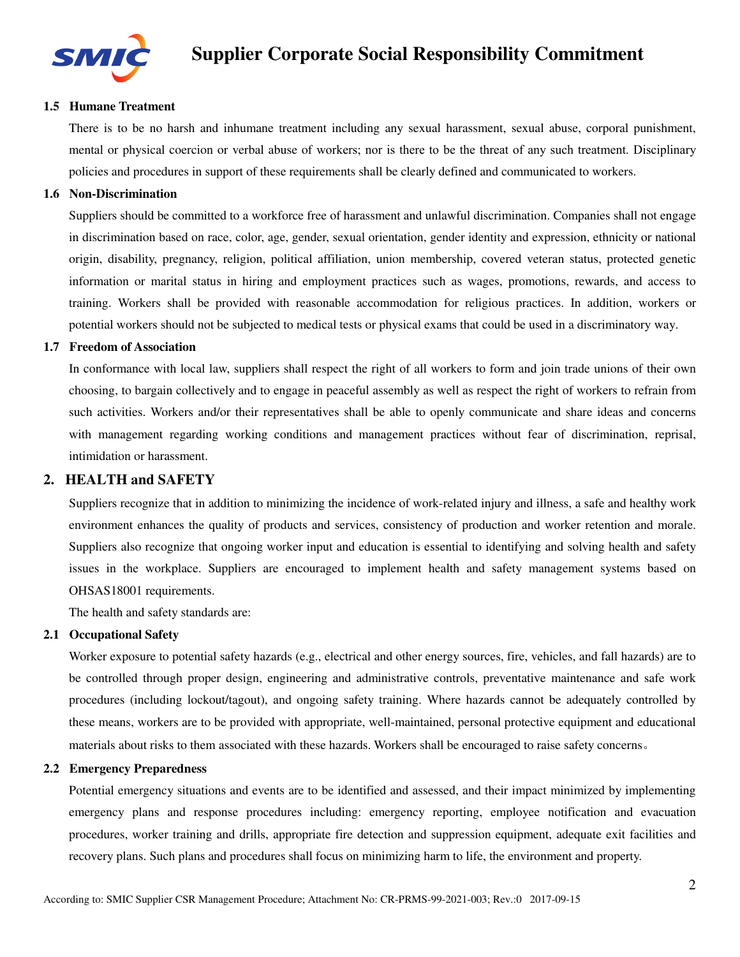

#### **1.5 Humane Treatment**

There is to be no harsh and inhumane treatment including any sexual harassment, sexual abuse, corporal punishment, mental or physical coercion or verbal abuse of workers; nor is there to be the threat of any such treatment. Disciplinary policies and procedures in support of these requirements shall be clearly defined and communicated to workers.

#### **1.6 Non-Discrimination**

Suppliers should be committed to a workforce free of harassment and unlawful discrimination. Companies shall not engage in discrimination based on race, color, age, gender, sexual orientation, gender identity and expression, ethnicity or national origin, disability, pregnancy, religion, political affiliation, union membership, covered veteran status, protected genetic information or marital status in hiring and employment practices such as wages, promotions, rewards, and access to training. Workers shall be provided with reasonable accommodation for religious practices. In addition, workers or potential workers should not be subjected to medical tests or physical exams that could be used in a discriminatory way.

#### **1.7 Freedom of Association**

In conformance with local law, suppliers shall respect the right of all workers to form and join trade unions of their own choosing, to bargain collectively and to engage in peaceful assembly as well as respect the right of workers to refrain from such activities. Workers and/or their representatives shall be able to openly communicate and share ideas and concerns with management regarding working conditions and management practices without fear of discrimination, reprisal, intimidation or harassment.

# **2. HEALTH and SAFETY**

Suppliers recognize that in addition to minimizing the incidence of work-related injury and illness, a safe and healthy work environment enhances the quality of products and services, consistency of production and worker retention and morale. Suppliers also recognize that ongoing worker input and education is essential to identifying and solving health and safety issues in the workplace. Suppliers are encouraged to implement health and safety management systems based on OHSAS18001 requirements.

The health and safety standards are:

# **2.1 Occupational Safety**

Worker exposure to potential safety hazards (e.g., electrical and other energy sources, fire, vehicles, and fall hazards) are to be controlled through proper design, engineering and administrative controls, preventative maintenance and safe work procedures (including lockout/tagout), and ongoing safety training. Where hazards cannot be adequately controlled by these means, workers are to be provided with appropriate, well-maintained, personal protective equipment and educational materials about risks to them associated with these hazards. Workers shall be encouraged to raise safety concerns。

#### **2.2 Emergency Preparedness**

Potential emergency situations and events are to be identified and assessed, and their impact minimized by implementing emergency plans and response procedures including: emergency reporting, employee notification and evacuation procedures, worker training and drills, appropriate fire detection and suppression equipment, adequate exit facilities and recovery plans. Such plans and procedures shall focus on minimizing harm to life, the environment and property.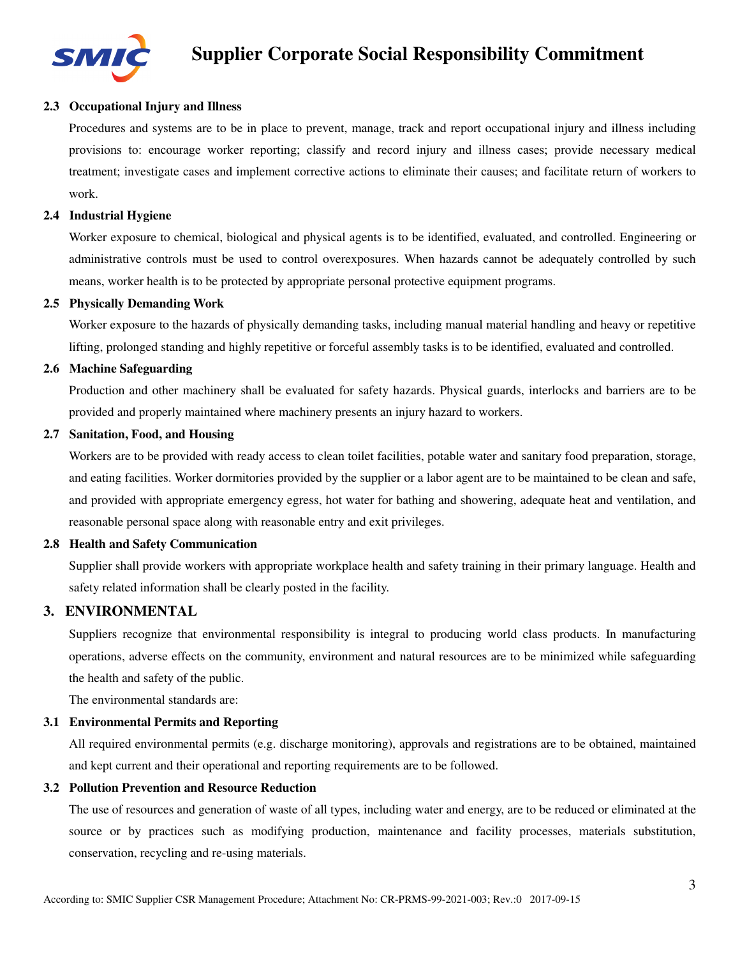

# **2.3 Occupational Injury and Illness**

Procedures and systems are to be in place to prevent, manage, track and report occupational injury and illness including provisions to: encourage worker reporting; classify and record injury and illness cases; provide necessary medical treatment; investigate cases and implement corrective actions to eliminate their causes; and facilitate return of workers to work.

#### **2.4 Industrial Hygiene**

Worker exposure to chemical, biological and physical agents is to be identified, evaluated, and controlled. Engineering or administrative controls must be used to control overexposures. When hazards cannot be adequately controlled by such means, worker health is to be protected by appropriate personal protective equipment programs.

#### **2.5 Physically Demanding Work**

Worker exposure to the hazards of physically demanding tasks, including manual material handling and heavy or repetitive lifting, prolonged standing and highly repetitive or forceful assembly tasks is to be identified, evaluated and controlled.

#### **2.6 Machine Safeguarding**

Production and other machinery shall be evaluated for safety hazards. Physical guards, interlocks and barriers are to be provided and properly maintained where machinery presents an injury hazard to workers.

#### **2.7 Sanitation, Food, and Housing**

Workers are to be provided with ready access to clean toilet facilities, potable water and sanitary food preparation, storage, and eating facilities. Worker dormitories provided by the supplier or a labor agent are to be maintained to be clean and safe, and provided with appropriate emergency egress, hot water for bathing and showering, adequate heat and ventilation, and reasonable personal space along with reasonable entry and exit privileges.

#### **2.8 Health and Safety Communication**

Supplier shall provide workers with appropriate workplace health and safety training in their primary language. Health and safety related information shall be clearly posted in the facility.

# **3. ENVIRONMENTAL**

Suppliers recognize that environmental responsibility is integral to producing world class products. In manufacturing operations, adverse effects on the community, environment and natural resources are to be minimized while safeguarding the health and safety of the public.

The environmental standards are:

#### **3.1 Environmental Permits and Reporting**

All required environmental permits (e.g. discharge monitoring), approvals and registrations are to be obtained, maintained and kept current and their operational and reporting requirements are to be followed.

#### **3.2 Pollution Prevention and Resource Reduction**

The use of resources and generation of waste of all types, including water and energy, are to be reduced or eliminated at the source or by practices such as modifying production, maintenance and facility processes, materials substitution, conservation, recycling and re-using materials.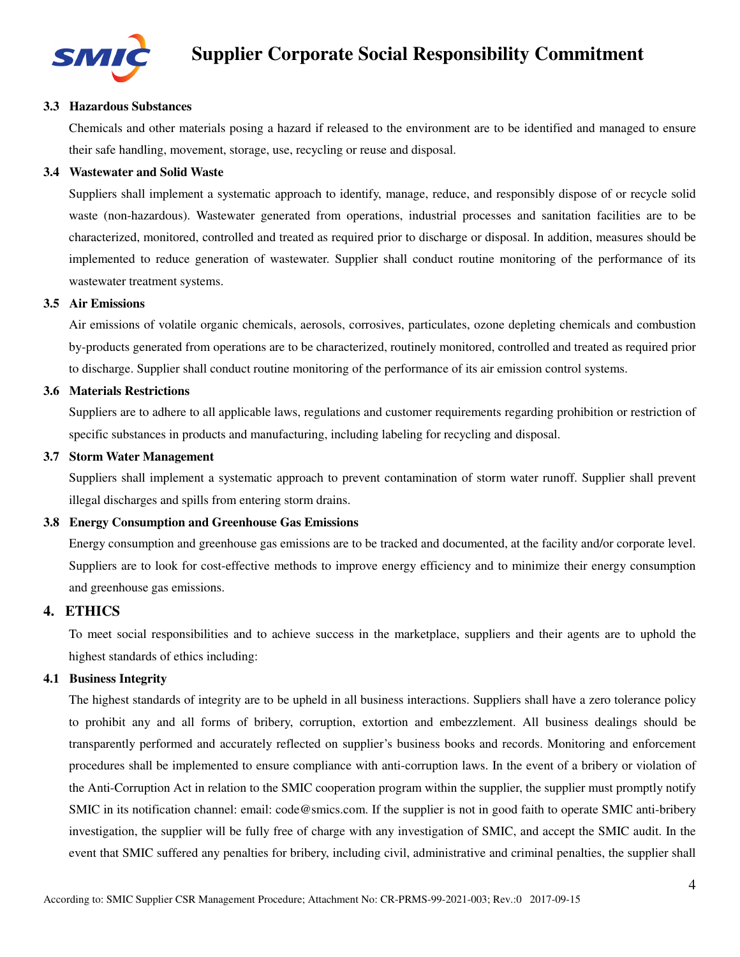

#### **3.3 Hazardous Substances**

Chemicals and other materials posing a hazard if released to the environment are to be identified and managed to ensure their safe handling, movement, storage, use, recycling or reuse and disposal.

#### **3.4 Wastewater and Solid Waste**

Suppliers shall implement a systematic approach to identify, manage, reduce, and responsibly dispose of or recycle solid waste (non-hazardous). Wastewater generated from operations, industrial processes and sanitation facilities are to be characterized, monitored, controlled and treated as required prior to discharge or disposal. In addition, measures should be implemented to reduce generation of wastewater. Supplier shall conduct routine monitoring of the performance of its wastewater treatment systems.

#### **3.5 Air Emissions**

Air emissions of volatile organic chemicals, aerosols, corrosives, particulates, ozone depleting chemicals and combustion by-products generated from operations are to be characterized, routinely monitored, controlled and treated as required prior to discharge. Supplier shall conduct routine monitoring of the performance of its air emission control systems.

#### **3.6 Materials Restrictions**

Suppliers are to adhere to all applicable laws, regulations and customer requirements regarding prohibition or restriction of specific substances in products and manufacturing, including labeling for recycling and disposal.

#### **3.7 Storm Water Management**

Suppliers shall implement a systematic approach to prevent contamination of storm water runoff. Supplier shall prevent illegal discharges and spills from entering storm drains.

# **3.8 Energy Consumption and Greenhouse Gas Emissions**

Energy consumption and greenhouse gas emissions are to be tracked and documented, at the facility and/or corporate level. Suppliers are to look for cost-effective methods to improve energy efficiency and to minimize their energy consumption and greenhouse gas emissions.

# **4. ETHICS**

To meet social responsibilities and to achieve success in the marketplace, suppliers and their agents are to uphold the highest standards of ethics including:

#### **4.1 Business Integrity**

The highest standards of integrity are to be upheld in all business interactions. Suppliers shall have a zero tolerance policy to prohibit any and all forms of bribery, corruption, extortion and embezzlement. All business dealings should be transparently performed and accurately reflected on supplier's business books and records. Monitoring and enforcement procedures shall be implemented to ensure compliance with anti-corruption laws. In the event of a bribery or violation of the Anti-Corruption Act in relation to the SMIC cooperation program within the supplier, the supplier must promptly notify SMIC in its notification channel: email: code@smics.com. If the supplier is not in good faith to operate SMIC anti-bribery investigation, the supplier will be fully free of charge with any investigation of SMIC, and accept the SMIC audit. In the event that SMIC suffered any penalties for bribery, including civil, administrative and criminal penalties, the supplier shall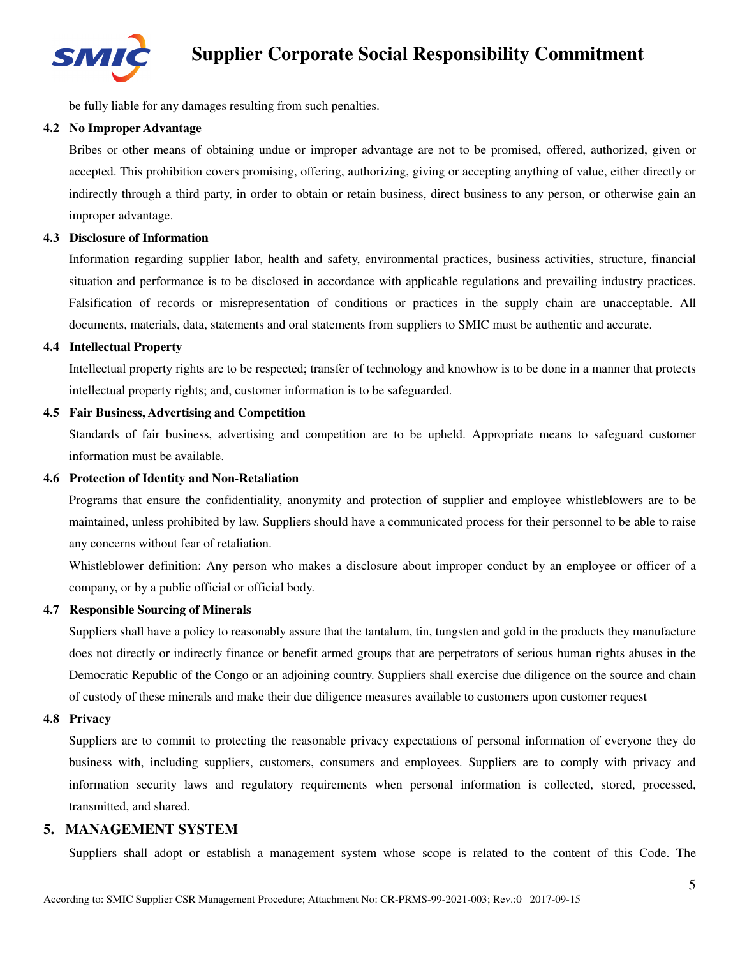

be fully liable for any damages resulting from such penalties.

#### **4.2 No Improper Advantage**

Bribes or other means of obtaining undue or improper advantage are not to be promised, offered, authorized, given or accepted. This prohibition covers promising, offering, authorizing, giving or accepting anything of value, either directly or indirectly through a third party, in order to obtain or retain business, direct business to any person, or otherwise gain an improper advantage.

#### **4.3 Disclosure of Information**

Information regarding supplier labor, health and safety, environmental practices, business activities, structure, financial situation and performance is to be disclosed in accordance with applicable regulations and prevailing industry practices. Falsification of records or misrepresentation of conditions or practices in the supply chain are unacceptable. All documents, materials, data, statements and oral statements from suppliers to SMIC must be authentic and accurate.

#### **4.4 Intellectual Property**

Intellectual property rights are to be respected; transfer of technology and knowhow is to be done in a manner that protects intellectual property rights; and, customer information is to be safeguarded.

#### **4.5 Fair Business, Advertising and Competition**

Standards of fair business, advertising and competition are to be upheld. Appropriate means to safeguard customer information must be available.

#### **4.6 Protection of Identity and Non-Retaliation**

Programs that ensure the confidentiality, anonymity and protection of supplier and employee whistleblowers are to be maintained, unless prohibited by law. Suppliers should have a communicated process for their personnel to be able to raise any concerns without fear of retaliation.

Whistleblower definition: Any person who makes a disclosure about improper conduct by an employee or officer of a company, or by a public official or official body.

#### **4.7 Responsible Sourcing of Minerals**

Suppliers shall have a policy to reasonably assure that the tantalum, tin, tungsten and gold in the products they manufacture does not directly or indirectly finance or benefit armed groups that are perpetrators of serious human rights abuses in the Democratic Republic of the Congo or an adjoining country. Suppliers shall exercise due diligence on the source and chain of custody of these minerals and make their due diligence measures available to customers upon customer request

#### **4.8 Privacy**

Suppliers are to commit to protecting the reasonable privacy expectations of personal information of everyone they do business with, including suppliers, customers, consumers and employees. Suppliers are to comply with privacy and information security laws and regulatory requirements when personal information is collected, stored, processed, transmitted, and shared.

# **5. MANAGEMENT SYSTEM**

Suppliers shall adopt or establish a management system whose scope is related to the content of this Code. The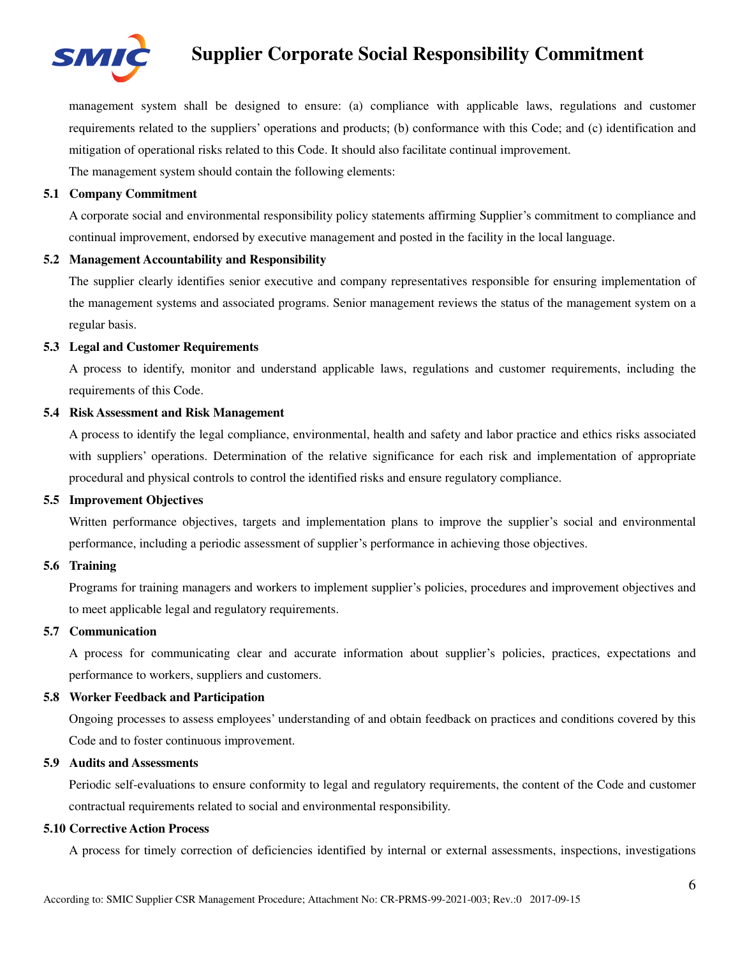

management system shall be designed to ensure: (a) compliance with applicable laws, regulations and customer requirements related to the suppliers' operations and products; (b) conformance with this Code; and (c) identification and mitigation of operational risks related to this Code. It should also facilitate continual improvement.

The management system should contain the following elements:

# **5.1 Company Commitment**

A corporate social and environmental responsibility policy statements affirming Supplier's commitment to compliance and continual improvement, endorsed by executive management and posted in the facility in the local language.

#### **5.2 Management Accountability and Responsibility**

The supplier clearly identifies senior executive and company representatives responsible for ensuring implementation of the management systems and associated programs. Senior management reviews the status of the management system on a regular basis.

#### **5.3 Legal and Customer Requirements**

A process to identify, monitor and understand applicable laws, regulations and customer requirements, including the requirements of this Code.

#### **5.4 Risk Assessment and Risk Management**

A process to identify the legal compliance, environmental, health and safety and labor practice and ethics risks associated with suppliers' operations. Determination of the relative significance for each risk and implementation of appropriate procedural and physical controls to control the identified risks and ensure regulatory compliance.

# **5.5 Improvement Objectives**

Written performance objectives, targets and implementation plans to improve the supplier's social and environmental performance, including a periodic assessment of supplier's performance in achieving those objectives.

# **5.6 Training**

Programs for training managers and workers to implement supplier's policies, procedures and improvement objectives and to meet applicable legal and regulatory requirements.

#### **5.7 Communication**

A process for communicating clear and accurate information about supplier's policies, practices, expectations and performance to workers, suppliers and customers.

# **5.8 Worker Feedback and Participation**

Ongoing processes to assess employees' understanding of and obtain feedback on practices and conditions covered by this Code and to foster continuous improvement.

#### **5.9 Audits and Assessments**

Periodic self-evaluations to ensure conformity to legal and regulatory requirements, the content of the Code and customer contractual requirements related to social and environmental responsibility.

#### **5.10 Corrective Action Process**

A process for timely correction of deficiencies identified by internal or external assessments, inspections, investigations